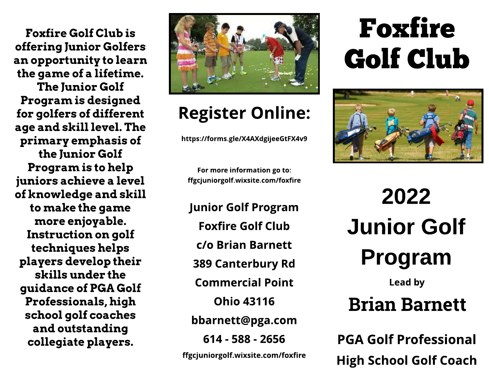Foxfire Golf Club is offering Junior Golfers an opportunity to learn the game of a lifetime. **The Junior Golf** Program is designed for golfers of different age and skill level. The primary emphasis of the Junior Golf Program is to help juniors achieve a level of knowledge and skill to make the game more enjoyable. Instruction on golf techniques helps players develop their skills under the guidance of PGA Golf Professionals, high school golf coaches and outstanding collegiate players.



### **Register Online:**

https://forms.gle/X4AXdgijeeGtFX4v9

For more information go to: ffgcjuniorgolf.wixsite.com/foxfire

 ${{\cal F}}_{\rm eff}$  is a set of  ${{\cal F}}_{\rm eff}$ barnet de transformation de la context de la context de la context de la context de la context de la context d<br>Disposition de la context de la context de la context de la context de la context de la context de la context 389 Canterbury Rd Junior Golf Program Foxfire Golf Club c/o Brian Barnett **Commercial Point** Ohio 43116 bbarnet t@pga.com 614 - 588 - 2656 ffgcjuniorgolf.wixsite.com/foxfire

# Fox fire Golf Club



2022 Junior Golf Program

Lead by

### Brian Barnett

**PGA Golf Professional** High School Golf Coach